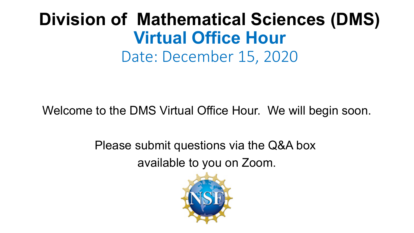### **Virtual Office Hour**  Date: December 15, 2020 **Division of Mathematical Sciences (DMS)**

Welcome to the DMS Virtual Office Hour. We will begin soon.

 Please submit questions via the Q&A box available to you on Zoom.

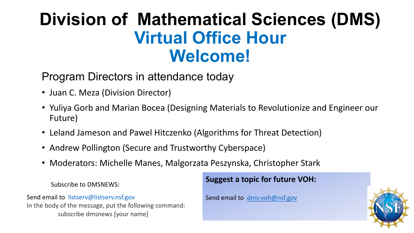### **Virtual Office Hour Division of Mathematical Sciences (DMS) Welcome!**

#### Program Directors in attendance today

- Juan C. Meza (Division Director)
- • Yuliya Gorb and Marian Bocea (Designing Materials to Revolutionize and Engineer our Future)
- Leland Jameson and Pawel Hitczenko (Algorithms for Threat Detection)
- Andrew Pollington (Secure and Trustworthy Cyberspace)
- Moderators: Michelle Manes, Malgorzata Peszynska, Christopher Stark

 Subscribe to DMSNEWS:

Send email to listserv@listserv.nsf.gov In the body of the message, put the following command: subscribe dmsnews [your name]

#### **Suggest a topic for future VOH:**

Send email to dms-voh@nsf.gov

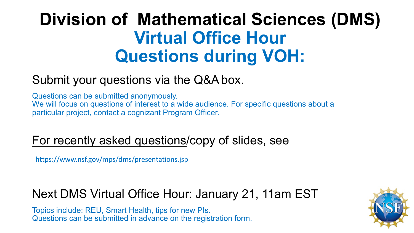## **Virtual Office Hour Division of Mathematical Sciences (DMS) Questions during VOH:**

### Submit your questions via the Q&A box.

 Questions can be submitted anonymously. We will focus on questions of interest to a wide audience. For specific questions about a particular project, contact a cognizant Program Officer.

#### For recently asked questions/copy of slides, see

https://www.nsf.gov/mps/dms/presentations.jsp

#### $\overline{a}$ ֞ Next DMS Virtual Office Hour: January 21, 11am EST

 Topics include: REU, Smart Health, tips for new PIs. Questions can be submitted in advance on the registration form.

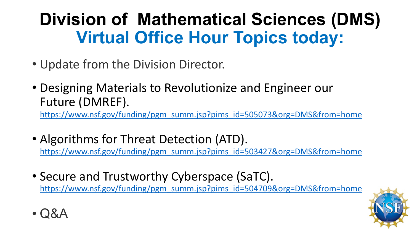# **Virtual Office Hour Topics today: Division of Mathematical Sciences (DMS)**

• Update from the Division Director.

• Q&A

 • Designing Materials to Revolutionize and Engineer our Future (DMREF).<br>https://www.nsf.gov/funding/pgm\_summ.jsp?pims\_id=505073&org=DMS&from=home

- Algorithms for Threat Detection (ATD). https://www.nsf.gov/funding/pgm\_summ.jsp?pims\_id=503427&org=DMS&from=home
- Secure and Trustworthy Cyberspace (SaTC). https://www.nsf.gov/funding/pgm\_summ.jsp?pims\_id=504709&org=DMS&from=home

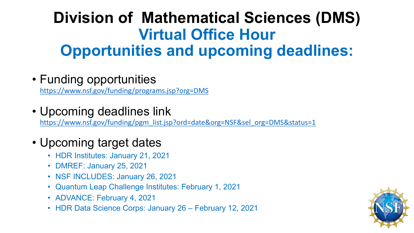### **Virtual Office Hour Division of Mathematical Sciences (DMS) Opportunities and upcoming deadlines:**

• Funding opportunities

https://www.nsf.gov/funding/programs.jsp?org=DMS

• Upcoming deadlines link

https://www.nsf.gov/funding/pgm\_list.jsp?ord=date&org=NSF&sel\_org=DMS&status=1

- • Upcoming target dates
	- HDR Institutes: January 21, 2021
	- DMREF: January 25, 2021
	- NSF INCLUDES: January 26, 2021
	- Quantum Leap Challenge Institutes: February 1, 2021
	- ADVANCE: February 4, 2021
	- HDR Data Science Corps: January 26 February 12, 2021

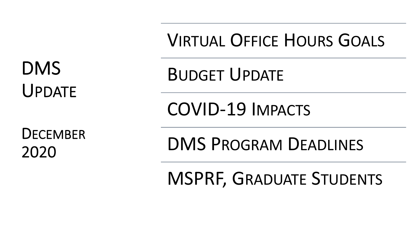UPDATE

VIRTUAL OFFICE HOURS GOALS

DMS BUDGET UPDATE

COVID-19 IMPACTS

DECEMBER<br>2020 DMS PROGRAM DEADLINES

MSPRF, GRADUATE STUDENTS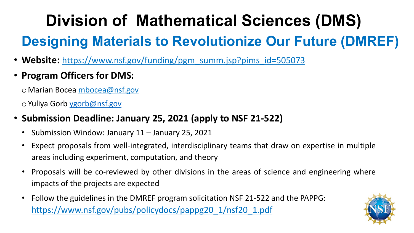# **Division of Mathematical Sciences (DMS) Designing Materials to Revolutionize Our Future (DMREF)**

- Website: [https://www.nsf.gov/funding/pgm\\_summ.jsp?pims\\_id=505073](https://www.nsf.gov/funding/pgm_summ.jsp?pims_id=505073)
- **Program Officers for DMS:**

oMarian Bocea [mbocea@nsf.gov](mailto:mbocea@nsf.gov)

oYuliya Gorb [ygorb@nsf.gov](mailto:ygorb@nsf.gov)

- **Submission Deadline: January 25, 2021 (apply to NSF 21-522)**
	- Submission Window: January 11 January 25, 2021
	- Expect proposals from well-integrated, interdisciplinary teams that draw on expertise in multiple areas including experiment, computation, and theory
	- Proposals will be co-reviewed by other divisions in the areas of science and engineering where impacts of the projects are expected
	- • Follow the guidelines in the DMREF program solicitation NSF 21-522 and the PAPPG: [https://www.nsf.gov/pubs/policydocs/pappg20\\_1/nsf20\\_1.pdf](https://www.nsf.gov/pubs/policydocs/pappg20_1/nsf20_1.pdf)

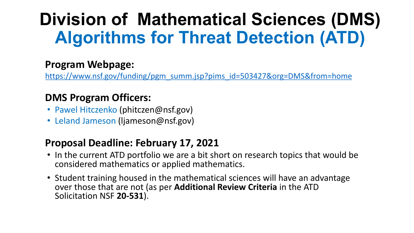# **Division of Mathematical Sciences (DMS) Algorithms for Threat Detection (ATD)**

#### **Program Webpage:**

[https://www.nsf.gov/funding/pgm\\_summ.jsp?pims\\_id=503427&org=DMS&from=home](https://www.nsf.gov/funding/pgm_summ.jsp?pims_id=503427&org=DMS&from=home)

#### **DMS Program Officers:**

- Pawel Hitczenko [\(phitczen@nsf.gov\)](mailto:phitczen@nsf.gov)
- Leland Jameson [\(ljameson@nsf.gov\)](mailto:ljameson@nsf.gov)

#### **Proposal Deadline: February 17, 2021**

- • In the current ATD portfolio we are a bit short on research topics that would be considered mathematics or applied mathematics.
- over those that are not (as per **Additional Review Criteria** in the ATD • Student training housed in the mathematical sciences will have an advantage Solicitation NSF **20-531**).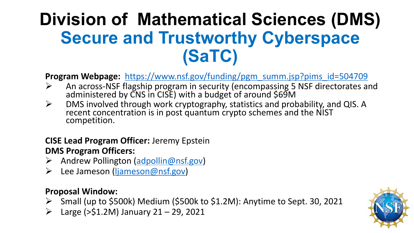# **Division of Mathematical Sciences (DMS) Secure and Trustworthy Cyberspace (SaTC)**

**Program Webpage:** https://www.nsf.gov/funding/pgm\_summ.jsp?pims\_id=504709

- An across-NSF flagship program in security (encompassing 5 NSF directorates and administered by CNS in CISE) with a budget of around \$69M
- $\triangleright$  DMS involved through work cryptography, statistics and probability, and QIS. A recent concentration is in post quantum crypto schemes and the NIST competition.

#### **CISE Lead Program Officer:** Jeremy Epstein  **DMS Program Officers:**

- Andrew Pollington [\(adpollin@nsf.gov](mailto:adpollin@nsf.gov))
- **Example 18 Figure 10 Figure 10 Figure 2018** Lee Jameson (ljameson @nsf.gov)

#### **Proposal Window:**

- Small (up to \$500k) Medium (\$500k to \$1.2M): Anytime to Sept. 30, 2021
- $\triangleright$  Large (>\$1.2M) January 21 29, 2021

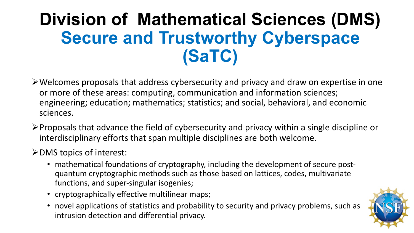# **Division of Mathematical Sciences (DMS) Secure and Trustworthy Cyberspace (SaTC)**

- •Welcomes proposals that address cybersecurity and privacy and draw on expertise in one or more of these areas: computing, communication and information sciences; engineering; education; mathematics; statistics; and social, behavioral, and economic sciences.
- $\triangleright$  Proposals that advance the field of cybersecurity and privacy within a single discipline or interdisciplinary efforts that span multiple disciplines are both welcome.

•DMS topics of interest:

- • mathematical foundations of cryptography, including the development of secure post- quantum cryptographic methods such as those based on lattices, codes, multivariate functions, and super-singular isogenies;
- cryptographically effective multilinear maps;
- • novel applications of statistics and probability to security and privacy problems, such as intrusion detection and differential privacy.

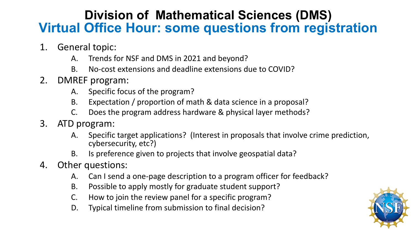#### **Division of Mathematical Sciences (DMS) Virtual Office Hour: some questions from registration**

- 1. General topic:
	- A. Trends for NSF and DMS in 2021 and beyond?
	- B. No-cost extensions and deadline extensions due to COVID?
- 2. DMREF program:
	- A. Specific focus of the program?
	- B. Expectation / proportion of math & data science in a proposal?
	- C. Does the program address hardware & physical layer methods?
- 3. ATD program:
	- A. Specific target applications? (Interest in proposals that involve crime prediction, cybersecurity, etc?)
	- B. Is preference given to projects that involve geospatial data?
- 4. Other questions:
	- A. Can I send a one-page description to a program officer for feedback?
	- B. Possible to apply mostly for graduate student support?
	- C. How to join the review panel for a specific program?
	- D. Typical timeline from submission to final decision?